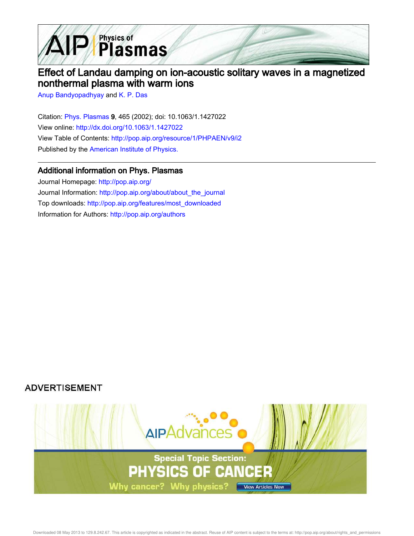

# Effect of Landau damping on ion-acoustic solitary waves in a magnetized nonthermal plasma with warm ions

Anup Bandyopadhyay and K. P. Das

Citation: Phys. Plasmas 9, 465 (2002); doi: 10.1063/1.1427022 View online: http://dx.doi.org/10.1063/1.1427022 View Table of Contents: http://pop.aip.org/resource/1/PHPAEN/v9/i2 Published by the American Institute of Physics.

## Additional information on Phys. Plasmas

Journal Homepage: http://pop.aip.org/ Journal Information: http://pop.aip.org/about/about\_the\_journal Top downloads: http://pop.aip.org/features/most\_downloaded Information for Authors: http://pop.aip.org/authors

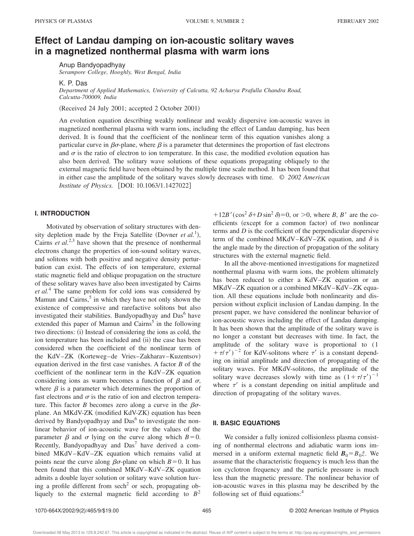## **Effect of Landau damping on ion-acoustic solitary waves in a magnetized nonthermal plasma with warm ions**

Anup Bandyopadhyay *Serampore College, Hooghly, West Bengal, India*

K. P. Das

*Department of Applied Mathematics, University of Calcutta, 92 Acharya Prafulla Chandra Road, Calcutta-700009, India*

(Received 24 July 2001; accepted 2 October 2001)

An evolution equation describing weakly nonlinear and weakly dispersive ion-acoustic waves in magnetized nonthermal plasma with warm ions, including the effect of Landau damping, has been derived. It is found that the coefficient of the nonlinear term of this equation vanishes along a particular curve in  $\beta\sigma$ -plane, where  $\beta$  is a parameter that determines the proportion of fast electrons and  $\sigma$  is the ratio of electron to ion temperature. In this case, the modified evolution equation has also been derived. The solitary wave solutions of these equations propagating obliquely to the external magnetic field have been obtained by the multiple time scale method. It has been found that in either case the amplitude of the solitary waves slowly decreases with time. © *2002 American Institute of Physics.* [DOI: 10.1063/1.1427022]

## **I. INTRODUCTION**

Motivated by observation of solitary structures with density depletion made by the Freja Satellite (Dovner *et al.*<sup>1</sup>), Cairns *et al.*<sup>2,3</sup> have shown that the presence of nonthermal electrons change the properties of ion-sound solitary waves, and solitons with both positive and negative density perturbation can exist. The effects of ion temperature, external static magnetic field and oblique propagation on the structure of these solitary waves have also been investigated by Cairns *et al.*<sup>4</sup> The same problem for cold ions was considered by Mamun and Cairns,<sup>5</sup> in which they have not only shown the existence of compressive and rarefactive solitons but also investigated their stabilities. Bandyopadhyay and Das<sup>6</sup> have extended this paper of Mamun and Cairns<sup>5</sup> in the following two directions: (i) Instead of considering the ions as cold, the ion temperature has been included and (ii) the case has been considered when the coefficient of the nonlinear term of the KdV–ZK (Korteweg–de Vries–Zakharav–Kuzentsov) equation derived in the first case vanishes. A factor *B* of the coefficient of the nonlinear term in the KdV–ZK equation considering ions as warm becomes a function of  $\beta$  and  $\sigma$ , where  $\beta$  is a parameter which determines the proportion of fast electrons and  $\sigma$  is the ratio of ion and electron temperature. This factor *B* becomes zero along a curve in the  $\beta\sigma$ plane. An MKdV-ZK (modified KdV-ZK) equation has been derived by Bandyopadhyay and Das<sup>6</sup> to investigate the nonlinear behavior of ion-acoustic wave for the values of the parameter  $\beta$  and  $\sigma$  lying on the curve along which  $B=0$ . Recently, Bandyopadhyay and  $Das<sup>7</sup>$  have derived a combined MKdV–KdV–ZK equation which remains valid at points near the curve along  $\beta\sigma$ -plane on which  $B=0$ . It has been found that this combined MKdV–KdV–ZK equation admits a double layer solution or solitary wave solution having a profile different from  $sech<sup>2</sup>$  or sech, propagating obliquely to the external magnetic field according to  $B^2$ 

 $112B'(\cos^2 \delta + D \sin^2 \delta) = 0$ , or  $>0$ , where *B*, *B'* are the coefficients (except for a common factor) of two nonlinear terms and *D* is the coefficient of the perpendicular dispersive term of the combined MKdV–KdV–ZK equation, and  $\delta$  is the angle made by the direction of propagation of the solitary structures with the external magnetic field.

In all the above-mentioned investigations for magnetized nonthermal plasma with warm ions, the problem ultimately has been reduced to either a KdV–ZK equation or an MKdV–ZK equation or a combined MKdV–KdV–ZK equation. All these equations include both nonlinearity and dispersion without explicit inclusion of Landau damping. In the present paper, we have considered the nonlinear behavior of ion-acoustic waves including the effect of Landau damping. It has been shown that the amplitude of the solitary wave is no longer a constant but decreases with time. In fact, the amplitude of the solitary wave is proportional to (1  $+\tau/\tau')^{-2}$  for KdV-solitons where  $\tau'$  is a constant depending on initial amplitude and direction of propagating of the solitary waves. For MKdV-solitons, the amplitude of the solitary wave decreases slowly with time as  $(1 + \tau/\tau')^{-1}$ where  $\tau'$  is a constant depending on initial amplitude and direction of propagating of the solitary waves.

#### **II. BASIC EQUATIONS**

We consider a fully ionized collisionless plasma consisting of nonthermal electrons and adiabatic warm ions immersed in a uniform external magnetic field  $\mathbf{B}_0 = B_0 \hat{z}$ . We assume that the characteristic frequency is much less than the ion cyclotron frequency and the particle pressure is much less than the magnetic pressure. The nonlinear behavior of ion-acoustic waves in this plasma may be described by the following set of fluid equations:<sup>4</sup>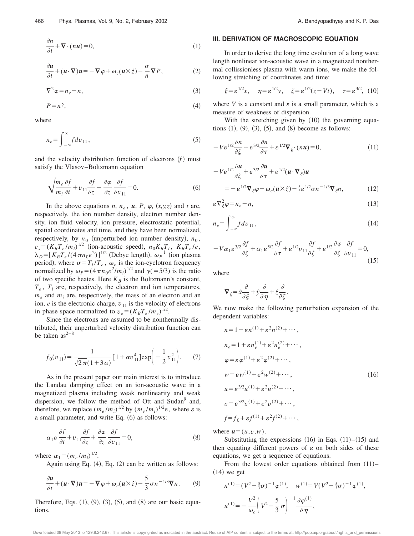$$
\frac{\partial n}{\partial t} + \nabla \cdot (n\mathbf{u}) = 0,\tag{1}
$$

$$
\frac{\partial u}{\partial t} + (u \cdot \nabla)u = -\nabla \varphi + \omega_c(u \times \hat{z}) - \frac{\sigma}{n} \nabla P, \qquad (2)
$$

$$
\nabla^2 \varphi = n_e - n,\tag{3}
$$

$$
P = n^{\gamma},\tag{4}
$$

where

$$
n_e = \int_{-\infty}^{\infty} f dv_{11},\tag{5}
$$

and the velocity distribution function of electrons  $(f)$  must satisfy the Vlasov–Boltzmann equation

$$
\sqrt{\frac{m_e}{m_i}\frac{\partial f}{\partial t}} + v_{11}\frac{\partial f}{\partial z} + \frac{\partial \varphi}{\partial z}\frac{\partial f}{\partial v_{11}} = 0.
$$
 (6)

In the above equations *n*,  $n_e$ ,  $\boldsymbol{u}$ ,  $P$ ,  $\varphi$ ,  $(x, y, z)$  and *t* are, respectively, the ion number density, electron number density, ion fluid velocity, ion pressure, electrostatic potential, spatial coordinates and time, and they have been normalized, respectively, by  $n_0$  (unperturbed ion number density),  $n_0$ ,  $c_s = (K_B T_e / m_i)^{1/2}$  (ion-acoustic speed),  $n_0 K_B T_i$ ,  $K_B T_e / e$ ,  $\lambda_D = [K_B T_e / (4 \pi n_0 e^2)]^{1/2}$  (Debye length),  $\omega_P^{-1}$  (ion plasma period), where  $\sigma = T_i / T_e$ ,  $\omega_c$  is the ion-cyclotron frequency normalized by  $\omega_p = (4 \pi n_0 e^2/m_i)^{1/2}$  and  $\gamma (= 5/3)$  is the ratio of two specific heates. Here  $K_B$  is the Boltzmann's constant,  $T_e$ ,  $T_i$  are, respectively, the electron and ion temperatures,  $m_e$  and  $m_i$  are, respectively, the mass of an electron and an ion,  $e$  is the electronic charge,  $v_{11}$  is the velocity of electrons in phase space normalized to  $v_e = (K_B T_e / m_e)^{1/2}$ .

Since the electrons are assumed to be nonthermally distributed, their unperturbed velocity distribution function can be taken  $as^{2-8}$ 

$$
f_0(v_{11}) = \frac{1}{\sqrt{2\pi}(1+3\alpha)} \left[1 + \alpha v_{11}^4\right] \exp\left(-\frac{1}{2}v_{11}^2\right). \tag{7}
$$

As in the present paper our main interest is to introduce the Landau damping effect on an ion-acoustic wave in a magnetized plasma including weak nonlinearity and weak dispersion, we follow the method of Ott and Sudan<sup>9</sup> and, therefore, we replace  $(m_e/m_i)^{1/2}$  by  $(m_e/m_i)^{1/2}\varepsilon$ , where  $\varepsilon$  is a small parameter, and write Eq.  $(6)$  as follows:

$$
\alpha_1 \varepsilon \frac{\partial f}{\partial t} + v_{11} \frac{\partial f}{\partial z} + \frac{\partial \varphi}{\partial z} \frac{\partial f}{\partial v_{11}} = 0, \tag{8}
$$

where  $\alpha_1 = (m_e/m_i)^{1/2}$ .

Again using Eq.  $(4)$ , Eq.  $(2)$  can be written as follows:

$$
\frac{\partial u}{\partial t} + (u \cdot \nabla)u = -\nabla \varphi + \omega_c(u \times \hat{z}) - \frac{5}{3} \sigma n^{-1/3} \nabla n.
$$
 (9)

Therefore, Eqs.  $(1)$ ,  $(9)$ ,  $(3)$ ,  $(5)$ , and  $(8)$  are our basic equations.

### **III. DERIVATION OF MACROSCOPIC EQUATION**

In order to derive the long time evolution of a long wave length nonlinear ion-acoustic wave in a magnetized nonthermal collissionless plasma with warm ions, we make the following stretching of coordinates and time:

$$
\xi = \varepsilon^{1/2} x, \quad \eta = \varepsilon^{1/2} y, \quad \zeta = \varepsilon^{1/2} (z - Vt), \quad \tau = \varepsilon^{3/2}, \tag{10}
$$

where  $V$  is a constant and  $\varepsilon$  is a small parameter, which is a measure of weakness of dispersion.

With the stretching given by  $(10)$  the governing equations  $(1)$ ,  $(9)$ ,  $(3)$ ,  $(5)$ , and  $(8)$  become as follows:

$$
-V\varepsilon^{1/2}\frac{\partial n}{\partial \zeta} + \varepsilon^{3/2}\frac{\partial n}{\partial \tau} + \varepsilon^{1/2}\nabla_{\xi} \cdot (n\mathbf{u}) = 0,\tag{11}
$$

$$
-V\varepsilon^{1/2}\frac{\partial u}{\partial \zeta} + \varepsilon^{3/2}\frac{\partial u}{\partial \tau} + \varepsilon^{1/2}(u \cdot \nabla_{\xi})u
$$
  
=  $-\varepsilon^{1/2}\nabla_{\xi}\varphi + \omega_{c}(u \times \hat{z}) - \frac{5}{3}\varepsilon^{1/2}\sigma n^{-1/3}\nabla_{\xi}n,$  (12)

$$
\varepsilon \nabla_{\xi}^{2} \varphi = n_{e} - n, \tag{13}
$$

$$
n_e = \int_{-\infty}^{\infty} f dv_{11},\tag{14}
$$

$$
-V\alpha_1 \varepsilon^{3/2} \frac{\partial f}{\partial \zeta} + \alpha_1 \varepsilon^{5/2} \frac{\partial f}{\partial \tau} + \varepsilon^{1/2} v_{11} \frac{\partial f}{\partial \zeta} + \varepsilon^{1/2} \frac{\partial \varphi}{\partial \zeta} \frac{\partial f}{\partial v_{11}} = 0,
$$
\n(15)

where

$$
\nabla_{\xi} = \hat{x}\frac{\partial}{\partial \xi} + \hat{y}\frac{\partial}{\partial \eta} + \hat{z}\frac{\partial}{\partial \zeta}.
$$

We now make the following perturbation expansion of the dependent variables:

$$
n = 1 + \varepsilon n^{(1)} + \varepsilon^2 n^{(2)} + \cdots,
$$
  
\n
$$
n_e = 1 + \varepsilon n_e^{(1)} + \varepsilon^2 n_e^{(2)} + \cdots,
$$
  
\n
$$
\varphi = \varepsilon \varphi^{(1)} + \varepsilon^2 \varphi^{(2)} + \cdots,
$$
  
\n
$$
w = \varepsilon w^{(1)} + \varepsilon^2 w^{(2)} + \cdots,
$$
  
\n
$$
u = \varepsilon^{3/2} u^{(1)} + \varepsilon^2 u^{(2)} + \cdots,
$$
  
\n
$$
v = \varepsilon^{3/2} v^{(1)} + \varepsilon^2 v^{(2)} + \cdots,
$$
  
\n
$$
f = f_0 + \varepsilon f^{(1)} + \varepsilon^2 f^{(2)} + \cdots,
$$

where  $\mathbf{u}=(u,v,w)$ .

Substituting the expressions  $(16)$  in Eqs.  $(11)–(15)$  and then equating different powers of  $\varepsilon$  on both sides of these equations, we get a sequence of equations.

From the lowest order equations obtained from  $(11)$ –  $(14)$  we get

$$
n^{(1)} = (V^2 - \frac{5}{3}\sigma)^{-1} \varphi^{(1)}, \quad w^{(1)} = V(V^2 - \frac{5}{3}\sigma)^{-1} \varphi^{(1)},
$$

$$
u^{(1)} = -\frac{V^2}{\omega_c} \left(V^2 - \frac{5}{3}\sigma\right)^{-1} \frac{\partial \varphi^{(1)}}{\partial \eta},
$$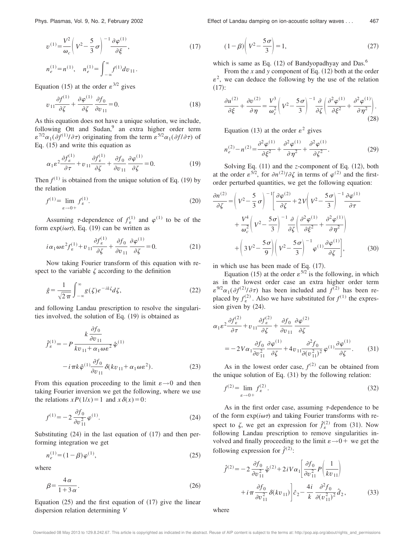Phys. Plasmas, Vol. 9, No. 2, February 2002 **Effect of Landau damping on ion-acoustic solitary waves...** 467

$$
37^{\circ}
$$

$$
v^{(1)} = \frac{V^2}{\omega_c} \left( V^2 - \frac{5}{3} \sigma \right)^{-1} \frac{\partial \varphi^{(1)}}{\partial \xi},
$$
  
\n
$$
n_e^{(1)} = n^{(1)}, \quad n_e^{(1)} = \int_{-\infty}^{\infty} f^{(1)} dv_{11}.
$$
\n(17)

Equation (15) at the order  $\varepsilon^{3/2}$  gives

$$
v_{11}\frac{\partial f^{(1)}}{\partial \zeta} + \frac{\partial \varphi^{(1)}}{\partial \zeta}\frac{\partial f_0}{\partial v_{11}} = 0.
$$
 (18)

As this equation does not have a unique solution, we include, following Ott and Sudan,<sup>9</sup> an extra higher order term  $\varepsilon^{7/2} \alpha_1(\partial f^{(1)}/\partial \tau)$  originating from the term  $\varepsilon^{5/2} \alpha_1(\partial f / \partial \tau)$  of Eq.  $(15)$  and write this equation as

$$
\alpha_1 \varepsilon^2 \frac{\partial f_\varepsilon^{(1)}}{\partial \tau} + v_{11} \frac{\partial f_\varepsilon^{(1)}}{\partial \zeta} + \frac{\partial f_0}{\partial v_{11}} \frac{\partial \varphi^{(1)}}{\partial \zeta} = 0.
$$
 (19)

Then  $f^{(1)}$  is obtained from the unique solution of Eq. (19) by the relation

$$
f^{(1)} = \lim_{\varepsilon \to 0+} f^{(1)}_{\varepsilon}.
$$
 (20)

Assuming  $\tau$ -dependence of  $f_{\varepsilon}^{(1)}$  and  $\varphi^{(1)}$  to be of the form  $\exp(i\omega\tau)$ , Eq. (19) can be written as

$$
i\alpha_1 \omega \varepsilon^2 f_{\varepsilon}^{(1)} + v_{11} \frac{\partial f_{\varepsilon}^{(1)}}{\partial \zeta} + \frac{\partial f_0}{\partial v_{11}} \frac{\partial \varphi^{(1)}}{\partial \zeta} = 0.
$$
 (21)

Now taking Fourier transform of this equation with respect to the variable  $\zeta$  according to the definition

$$
\hat{g} = \frac{1}{\sqrt{2\pi}} \int_{-\infty}^{\infty} g(\zeta) e^{-ik\zeta} d\zeta,
$$
\n(22)

and following Landau prescription to resolve the singularities involved, the solution of Eq.  $(19)$  is obtained as

$$
\hat{f}_{\varepsilon}^{(1)} = -P \frac{k \frac{\partial f_0}{\partial v_{11}}}{kv_{11} + \alpha_1 \omega \varepsilon^2} \hat{\varphi}^{(1)} \n- i \pi k \hat{\varphi}^{(1)} \frac{\partial f_0}{\partial v_{11}} \delta (k v_{11} + \alpha_1 \omega \varepsilon^2).
$$
\n(23)

From this equation proceeding to the limit  $\varepsilon \rightarrow 0$  and then taking Fourier inversion we get the following, where we use the relations  $xP(1/x)=1$  and  $x\delta(x)=0$ :

$$
f^{(1)} = -2 \frac{\partial f_0}{\partial v_{11}^2} \varphi^{(1)}.
$$
 (24)

Substituting  $(24)$  in the last equation of  $(17)$  and then performing integration we get

$$
n_e^{(1)} = (1 - \beta)\varphi^{(1)},\tag{25}
$$

where

$$
\beta = \frac{4\alpha}{1+3\alpha}.\tag{26}
$$

Equation  $(25)$  and the first equation of  $(17)$  give the linear dispersion relation determining *V*

 $(1-\beta)\left(v^2-\frac{5\sigma}{3}\right)$  $\left(\frac{3}{3}\right) = 1,$  (27)

which is same as Eq.  $(12)$  of Bandyopadhyay and Das.<sup>6</sup>

From the *x* and *y* component of Eq.  $(12)$  both at the order  $\varepsilon^2$ , we can deduce the following by the use of the relation  $(17):$ 

$$
\frac{\partial u^{(2)}}{\partial \xi} + \frac{\partial v^{(2)}}{\partial \eta} = \frac{V^3}{\omega_c^2} \left( V^2 - \frac{5\,\sigma}{3} \right)^{-1} \frac{\partial}{\partial \zeta} \left( \frac{\partial^2 \varphi^{(1)}}{\partial \xi^2} + \frac{\partial^2 \varphi^{(1)}}{\partial \eta^2} \right). \tag{28}
$$

Equation (13) at the order  $\varepsilon^2$  gives

$$
n_e^{(2)} - n^{(2)} = \frac{\partial^2 \varphi^{(1)}}{\partial \xi^2} + \frac{\partial^2 \varphi^{(1)}}{\partial \eta^2} + \frac{\partial^2 \varphi^{(1)}}{\partial \zeta^2}.
$$
 (29)

Solving Eq.  $(11)$  and the *z*-component of Eq.  $(12)$ , both at the order  $\varepsilon^{5/2}$ , for  $\partial n^{(2)}/\partial \zeta$  in terms of  $\varphi^{(2)}$  and the firstorder perturbed quantities, we get the following equation:

$$
\frac{\partial n^{(2)}}{\partial \zeta} = \left(V^2 - \frac{5}{3}\sigma\right)^{-1} \left[\frac{\partial \varphi^{(2)}}{\partial \zeta} + 2V\left(V^2 - \frac{5\sigma}{3}\right)^{-1} \frac{\partial \varphi^{(1)}}{\partial \tau} + \frac{V^4}{\omega_c^2} \left(V^2 - \frac{5\sigma}{3}\right)^{-1} \frac{\partial}{\partial \zeta} \left(\frac{\partial^2 \varphi^{(1)}}{\partial \xi^2} + \frac{\partial^2 \varphi^{(1)}}{\partial \eta^2}\right) + \left(3V^2 - \frac{5\sigma}{9}\right) \left(V^2 - \frac{5\sigma}{3}\right)^{-1} \varphi^{(1)} \frac{\partial \varphi^{(1)}}{\partial \zeta},\tag{30}
$$

in which use has been made of Eq.  $(17)$ .

Equation (15) at the order  $\varepsilon^{5/2}$  is the following, in which as in the lowest order case an extra higher order term  $\varepsilon^{9/2} \alpha_1(\partial f^{(2)}/\partial \tau)$  has been included and  $f^{(2)}$  has been replaced by  $f_{\varepsilon}^{(2)}$ . Also we have substituted for  $f^{(1)}$  the expression given by  $(24)$ .

$$
\alpha_1 \varepsilon^2 \frac{\partial f_{\varepsilon}^{(2)}}{\partial \tau} + v_{11} \frac{\partial f_{\varepsilon}^{(2)}}{\partial \zeta} + \frac{\partial f_0}{\partial v_{11}} \frac{\partial \varphi^{(2)}}{\partial \zeta}
$$
  
= 
$$
-2V \alpha_1 \frac{\partial f_0}{\partial v_{11}^2} \frac{\partial \varphi^{(1)}}{\partial \zeta} + 4v_{11} \frac{\partial^2 f_0}{\partial (v_{11}^2)^2} \varphi^{(1)} \frac{\partial \varphi^{(1)}}{\partial \zeta}.
$$
 (31)

As in the lowest order case,  $f^{(2)}$  can be obtained from the unique solution of Eq.  $(31)$  by the following relation:

$$
f^{(2)} = \lim_{\varepsilon \to 0+} f^{(2)}_{\varepsilon}.
$$
 (32)

As in the first order case, assuming  $\tau$ -dependence to be of the form  $\exp(i\omega\tau)$  and taking Fourier transforms with respect to  $\zeta$ , we get an expression for  $\hat{f}_{\varepsilon}^{(2)}$  from (31). Now following Landau prescription to remove singularities involved and finally proceeding to the limit  $\varepsilon \rightarrow 0^+$  we get the following expression for  $\hat{f}^{(2)}$ :

$$
\hat{f}^{(2)} = -2 \frac{\partial f_0}{\partial v_{11}^2} \hat{\varphi}^{(2)} + 2 i V \alpha_1 \left[ \frac{\partial f_0}{\partial v_{11}^2} P \left( \frac{1}{k v_{11}} \right) + i \pi \frac{\partial f_0}{\partial v_{11}^2} \delta(k v_{11}) \right] \hat{c}_2 - \frac{4 i}{k} \frac{\partial^2 f_0}{\partial (v_{11}^2)^2} \hat{d}_2, \tag{33}
$$

where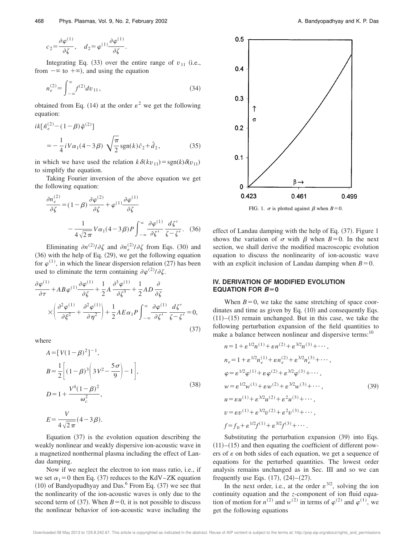$$
c_2 = \frac{\partial \varphi^{(1)}}{\partial \zeta}, \quad d_2 = \varphi^{(1)} \frac{\partial \varphi^{(1)}}{\partial \zeta}.
$$

Integrating Eq.  $(33)$  over the entire range of  $v_{11}$  (i.e., from  $-\infty$  to  $+\infty$ ), and using the equation

$$
n_e^{(2)} = \int_{-\infty}^{\infty} f^{(2)} dv_{11},
$$
\n(34)

obtained from Eq. (14) at the order  $\varepsilon^2$  we get the following equation:

$$
ik[\hat{n}_e^{(2)} - (1 - \beta)\hat{\varphi}^{(2)}]
$$
  
=  $-\frac{1}{4}iV\alpha_1(4 - 3\beta)\sqrt{\frac{\pi}{2}}sgn(k)\hat{c}_2 + \hat{d}_2,$  (35)

in which we have used the relation  $k\delta(kv_{11}) = sgn(k)\delta(v_{11})$ to simplify the equation.

Taking Fourier inversion of the above equation we get the following equation:

$$
\frac{\partial n_e^{(2)}}{\partial \zeta} = (1 - \beta) \frac{\partial \varphi^{(2)}}{\partial \zeta} + \varphi^{(1)} \frac{\partial \varphi^{(1)}}{\partial \zeta}
$$

$$
- \frac{1}{4\sqrt{2\pi}} V \alpha_1 (4 - 3\beta) P \int_{-\infty}^{\infty} \frac{\partial \varphi^{(1)}}{\partial \zeta'} \frac{d\zeta'}{\zeta - \zeta'} . \quad (36)
$$

Eliminating  $\partial n^{(2)}/\partial \zeta$  and  $\partial n_e^{(2)}/\partial \zeta$  from Eqs. (30) and  $(36)$  with the help of Eq.  $(29)$ , we get the following equation for  $\varphi^{(1)}$ , in which the linear dispersion relation (27) has been used to eliminate the term containing  $\partial \varphi^{(2)}/\partial \zeta$ .

$$
\frac{\partial \varphi^{(1)}}{\partial \tau} + AB \varphi^{(1)} \frac{\partial \varphi^{(1)}}{\partial \zeta} + \frac{1}{2} A \frac{\partial^3 \varphi^{(1)}}{\partial \zeta^3} + \frac{1}{2} AD \frac{\partial}{\partial \zeta} \times \left( \frac{\partial^2 \varphi^{(1)}}{\partial \xi^2} + \frac{\partial^2 \varphi^{(1)}}{\partial \eta^2} \right) + \frac{1}{2} AE \alpha_1 P \int_{-\infty}^{\infty} \frac{\partial \varphi^{(1)}}{\partial \zeta'} \frac{d \zeta'}{\zeta - \zeta'} = 0,
$$
\n(37)

where

$$
A = [V(1 - \beta)^{2}]^{-1},
$$
  
\n
$$
B = \frac{1}{2} \left[ (1 - \beta)^{3} \left( 3V^{2} - \frac{5\sigma}{9} \right) - 1 \right],
$$
  
\n
$$
D = 1 + \frac{V^{4}(1 - \beta)^{2}}{\omega_{c}^{2}},
$$
  
\n
$$
E = \frac{V}{4\sqrt{2\pi}} (4 - 3\beta).
$$
\n(38)

Equation  $(37)$  is the evolution equation describing the weakly nonlinear and weakly dispersive ion-acoustic wave in a magnetized nonthermal plasma including the effect of Landau damping.

Now if we neglect the electron to ion mass ratio, i.e., if we set  $\alpha_1=0$  then Eq. (37) reduces to the KdV–ZK equation  $(10)$  of Bandyopadhyay and Das.<sup>6</sup> From Eq.  $(37)$  we see that the nonlinearity of the ion-acoustic waves is only due to the second term of  $(37)$ . When  $B=0$ , it is not possible to discuss the nonlinear behavior of ion-acoustic wave including the



FIG. 1.  $\sigma$  is plotted against  $\beta$  when  $B=0$ .

effect of Landau damping with the help of Eq.  $(37)$ . Figure 1 shows the variation of  $\sigma$  with  $\beta$  when  $B=0$ . In the next section, we shall derive the modified macroscopic evolution equation to discuss the nonlinearity of ion-acoustic wave with an explicit inclusion of Landau damping when  $B=0$ .

### **IV. DERIVATION OF MODIFIED EVOLUTION EQUATION FOR**  $B=0$

When  $B=0$ , we take the same stretching of space coordinates and time as given by Eq.  $(10)$  and consequently Eqs.  $(11)–(15)$  remain unchanged. But in this case, we take the following perturbation expansion of the field quantities to make a balance between nonlinear and dispersive terms:<sup>10</sup>

$$
n = 1 + \varepsilon^{1/2} n^{(1)} + \varepsilon n^{(2)} + \varepsilon^{3/2} n^{(3)} + \cdots,
$$
  
\n
$$
n_e = 1 + \varepsilon^{1/2} n_e^{(1)} + \varepsilon n_e^{(2)} + \varepsilon^{3/2} n_e^{(3)} + \cdots,
$$
  
\n
$$
\varphi = \varepsilon^{1/2} \varphi^{(1)} + \varepsilon \varphi^{(2)} + \varepsilon^{3/2} \varphi^{(3)} + \cdots,
$$
  
\n
$$
w = \varepsilon^{1/2} w^{(1)} + \varepsilon w^{(2)} + \varepsilon^{3/2} w^{(3)} + \cdots,
$$
  
\n
$$
u = \varepsilon u^{(1)} + \varepsilon^{3/2} u^{(2)} + \varepsilon^2 u^{(3)} + \cdots,
$$
  
\n
$$
v = \varepsilon v^{(1)} + \varepsilon^{3/2} v^{(2)} + \varepsilon^2 v^{(3)} + \cdots,
$$
  
\n
$$
f = f_0 + \varepsilon^{1/2} f^{(1)} + \varepsilon^{3/2} f^{(3)} + \cdots.
$$
  
\n(39)

Substituting the perturbation expansion  $(39)$  into Eqs.  $(11)–(15)$  and then equating the coefficient of different powers of  $\varepsilon$  on both sides of each equation, we get a sequence of equations for the perturbed quantities. The lowest order analysis remains unchanged as in Sec. III and so we can frequently use Eqs.  $(17)$ ,  $(24)–(27)$ .

In the next order, i.e., at the order  $\varepsilon^{3/2}$ , solving the ion continuity equation and the *z*-component of ion fluid equation of motion for  $n^{(2)}$  and  $w^{(2)}$  in terms of  $\varphi^{(2)}$  and  $\varphi^{(1)}$ , we get the following equations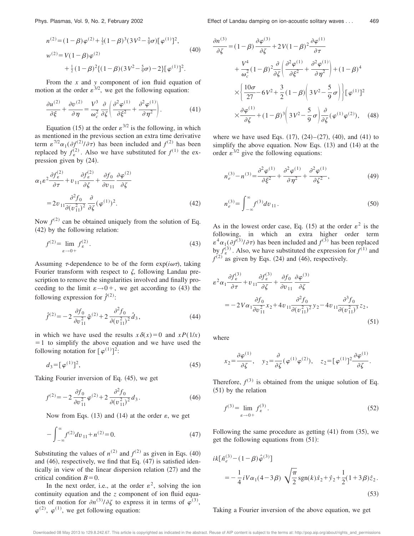$$
n^{(2)} = (1 - \beta) \varphi^{(2)} + \frac{1}{2} (1 - \beta)^3 (3 V^2 - \frac{5}{9} \sigma) [\varphi^{(1)}]^2,
$$
  
\n
$$
w^{(2)} = V(1 - \beta) \varphi^{(2)} + \frac{1}{2} (1 - \beta)^2 \{ (1 - \beta) (3 V^2 - \frac{5}{9} \sigma) - 2 \} [\varphi^{(1)}]^2.
$$
\n(40)

From the *x* and *y* component of ion fluid equation of motion at the order  $\varepsilon^{3/2}$ , we get the following equation:

$$
\frac{\partial u^{(2)}}{\partial \xi} + \frac{\partial v^{(2)}}{\partial \eta} = \frac{V^3}{\omega_c^2} \frac{\partial}{\partial \zeta} \left( \frac{\partial^2 \varphi^{(1)}}{\partial \xi^2} + \frac{\partial^2 \varphi^{(1)}}{\partial \eta^2} \right). \tag{41}
$$

Equation (15) at the order  $\varepsilon^{3/2}$  is the following, in which as mentioned in the previous section an extra time derivative term  $\varepsilon^{7/2} \alpha_1(\partial f^{(2)}/\partial \tau)$  has been included and  $f^{(2)}$  has been replaced by  $f_{\varepsilon}^{(2)}$ . Also we have substituted for  $f^{(1)}$  the expression given by  $(24)$ .

$$
\alpha_1 \varepsilon^2 \frac{\partial f_{\varepsilon}^{(2)}}{\partial \tau} + v_{11} \frac{\partial f_{\varepsilon}^{(2)}}{\partial \zeta} + \frac{\partial f_0}{\partial v_{11}} \frac{\partial \varphi^{(2)}}{\partial \zeta}
$$
  
= 
$$
2v_{11} \frac{\partial^2 f_0}{\partial (v_{11}^2)^2} \frac{\partial}{\partial \zeta} (\varphi^{(1)})^2.
$$
 (42)

Now  $f^{(2)}$  can be obtained uniquely from the solution of Eq.  $(42)$  by the following relation:

$$
f^{(2)} = \lim_{\varepsilon \to 0+} f^{(2)}_{\varepsilon}.
$$
 (43)

Assuming  $\tau$ -dependence to be of the form  $\exp(i\omega\tau)$ , taking Fourier transform with respect to  $\zeta$ , following Landau prescription to remove the singularities involved and finally proceeding to the limit  $\varepsilon \rightarrow 0^+$ , we get according to (43) the following expression for  $\hat{f}^{(2)}$ :

$$
\hat{f}^{(2)} = -2 \frac{\partial f_0}{\partial v_{11}^2} \hat{\varphi}^{(2)} + 2 \frac{\partial^2 f_0}{\partial (v_{11}^2)^2} \hat{d}_3,
$$
\n(44)

in which we have used the results  $x \delta(x) = 0$  and  $xP(1/x)$  $=1$  to simplify the above equation and we have used the following notation for  $\lbrack \varphi^{(1)} \rbrack^2$ :

$$
d_3 = \left[\varphi^{(1)}\right]^2,\tag{45}
$$

Taking Fourier inversion of Eq.  $(45)$ , we get

$$
f^{(2)} = -2 \frac{\partial f_0}{\partial v_{11}^2} \varphi^{(2)} + 2 \frac{\partial^2 f_0}{\partial (v_{11}^2)^2} d_3.
$$
 (46)

Now from Eqs.  $(13)$  and  $(14)$  at the order  $\varepsilon$ , we get

$$
-\int_{-\infty}^{\infty} f^{(2)} dv_{11} + n^{(2)} = 0.
$$
 (47)

Substituting the values of  $n^{(2)}$  and  $f^{(2)}$  as given in Eqs. (40) and  $(46)$ , respectively, we find that Eq.  $(47)$  is satisfied identically in view of the linear dispersion relation  $(27)$  and the critical condition  $B=0$ .

In the next order, i.e., at the order  $\varepsilon^2$ , solving the ion continuity equation and the *z* component of ion fluid equation of motion for  $\partial n^{(3)}/\partial \zeta$  to express it in terms of  $\varphi^{(3)}$ ,  $\varphi^{(2)}$ ,  $\varphi^{(1)}$ , we get following equation:

$$
\frac{\partial n^{(3)}}{\partial \zeta} = (1 - \beta) \frac{\partial \varphi^{(3)}}{\partial \zeta} + 2V(1 - \beta)^2 \frac{\partial \varphi^{(1)}}{\partial \tau} \n+ \frac{V^4}{\omega_c^2} (1 - \beta)^2 \frac{\partial}{\partial \zeta} \left( \frac{\partial^2 \varphi^{(1)}}{\partial \xi^2} + \frac{\partial^2 \varphi^{(1)}}{\partial \eta^2} \right) + (1 - \beta)^4 \n\times \left\{ \frac{10\sigma}{27} - 6V^2 + \frac{3}{2} (1 - \beta) \left( 3V^2 - \frac{5}{9} \sigma \right) \right\} \left[ \varphi^{(1)} \right]^2 \n\times \frac{\partial \varphi^{(1)}}{\partial \zeta} + (1 - \beta)^3 \left( 3V^2 - \frac{5}{9} \sigma \right) \frac{\partial}{\partial \zeta} (\varphi^{(1)} \varphi^{(2)}), \quad (48)
$$

where we have used Eqs.  $(17)$ ,  $(24)–(27)$ ,  $(40)$ , and  $(41)$  to simplify the above equation. Now Eqs.  $(13)$  and  $(14)$  at the order  $\varepsilon^{3/2}$  give the following equations:

$$
n_e^{(3)} - n^{(3)} = \frac{\partial^2 \varphi^{(1)}}{\partial \xi^2} + \frac{\partial^2 \varphi^{(1)}}{\partial \eta^2} + \frac{\partial^2 \varphi^{(1)}}{\partial \zeta^2},
$$
 (49)

$$
n_e^{(3)} = \int_{-\infty}^{\infty} f^{(3)} dv_{11}.
$$
 (50)

As in the lowest order case, Eq. (15) at the order  $\varepsilon^2$  is the following, in which an extra higher order term  $\epsilon^4 \alpha_1(\partial f^{(3)}/\partial \tau)$  has been included and  $f^{(3)}$  has been replaced by  $f_{\varepsilon}^{(3)}$ . Also, we have substituted the expression for  $f^{(1)}$  and  $f<sup>(2)</sup>$  as given by Eqs. (24) and (46), respectively.

$$
\varepsilon^{2} \alpha_{1} \frac{\partial f_{\varepsilon}^{(3)}}{\partial \tau} + v_{11} \frac{\partial f_{\varepsilon}^{(3)}}{\partial \zeta} + \frac{\partial f_{0}}{\partial v_{11}} \frac{\partial \varphi^{(3)}}{\partial \zeta}
$$
\n
$$
= -2V \alpha_{1} \frac{\partial f_{0}}{\partial v_{11}^{2}} x_{2} + 4v_{11} \frac{\partial^{2} f_{0}}{\partial (v_{11}^{2})^{2}} y_{2} - 4v_{11} \frac{\partial^{3} f_{0}}{\partial (v_{11}^{2})^{3}} z_{2},
$$
\n(51)

where

$$
x_2 = \frac{\partial \varphi^{(1)}}{\partial \zeta}, \quad y_2 = \frac{\partial}{\partial \zeta} (\varphi^{(1)} \varphi^{(2)}), \quad z_2 = [\varphi^{(1)}]^2 \frac{\partial \varphi^{(1)}}{\partial \zeta}.
$$

Therefore,  $f^{(3)}$  is obtained from the unique solution of Eq.  $(51)$  by the relation

$$
f^{(3)} = \lim_{\varepsilon \to 0+} f^{(3)}_{\varepsilon}.
$$
 (52)

Following the same procedure as getting  $(41)$  from  $(35)$ , we get the following equations from  $(51)$ :

$$
ik[\hat{n}_e^{(3)} - (1 - \beta)\hat{\varphi}^{(3)}]
$$
  
=  $-\frac{1}{4}iV\alpha_1(4 - 3\beta)\sqrt{\frac{\pi}{2}}\text{sgn}(k)\hat{x}_2 + \hat{y}_2 + \frac{1}{2}(1 + 3\beta)\hat{z}_2.$  (53)

## Taking a Fourier inversion of the above equation, we get

Downloaded 08 May 2013 to 129.8.242.67. This article is copyrighted as indicated in the abstract. Reuse of AIP content is subject to the terms at: http://pop.aip.org/about/rights\_and\_permissions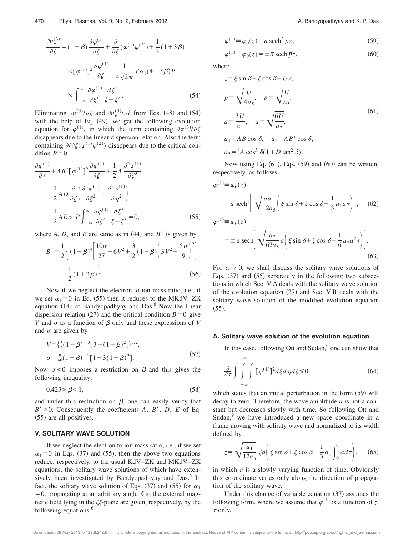$$
\frac{\partial n_e^{(3)}}{\partial \zeta} = (1 - \beta) \frac{\partial \varphi^{(3)}}{\partial \zeta} + \frac{\partial}{\partial \zeta} (\varphi^{(1)} \varphi^{(2)}) + \frac{1}{2} (1 + 3 \beta)
$$

$$
\times [\varphi^{(1)}]^2 \frac{\partial \varphi^{(1)}}{\partial \zeta} - \frac{1}{4 \sqrt{2\pi}} V \alpha_1 (4 - 3 \beta) P
$$

$$
\times \int_{-\infty}^{\infty} \frac{\partial \varphi^{(1)}}{\partial \zeta'} \frac{d\zeta'}{\zeta - \zeta'}.
$$
(54)

Eliminating  $\partial n^{(3)}/\partial \zeta$  and  $\partial n_e^{(3)}/\partial \zeta$  from Eqs. (48) and (54) with the help of Eq.  $(49)$ , we get the following evolution equation for  $\varphi^{(1)}$ , in which the term containing  $\partial \varphi^{(3)}/\partial \zeta$ disappears due to the linear dispersion relation. Also the term containing  $\partial/\partial \zeta(\varphi^{(1)}\varphi^{(2)})$  disappears due to the critical condition  $B=0$ .

$$
\frac{\partial \varphi^{(1)}}{\partial \tau} + AB' [\varphi^{(1)}]^{2} \frac{\partial \varphi^{(1)}}{\partial \zeta} + \frac{1}{2} A \frac{\partial^{2} \varphi^{(1)}}{\partial \zeta^{3}} \n+ \frac{1}{2} AD \frac{\partial}{\partial \zeta} \left( \frac{\partial^{2} \varphi^{(1)}}{\partial \xi^{2}} + \frac{\partial^{2} \varphi^{(1)}}{\partial \eta^{2}} \right) \n+ \frac{1}{2} AE \alpha_{1} P \int_{-\infty}^{\infty} \frac{\partial \varphi^{(1)}}{\partial \zeta'} \frac{d\zeta'}{\zeta - \zeta'} = 0,
$$
\n(55)

where  $A$ ,  $D$ , and  $E$  are same as in  $(44)$  and  $B'$  is given by

$$
B' = \frac{1}{2} \left\{ (1 - \beta)^4 \left[ \frac{10\sigma}{27} - 6V^2 + \frac{3}{2} (1 - \beta) \left( 3V^2 - \frac{5\sigma}{9} \right)^2 \right] - \frac{1}{2} (1 + 3\beta) \right\}.
$$
 (56)

Now if we neglect the electron to ion mass ratio, i.e., if we set  $\alpha_1=0$  in Eq. (55) then it reduces to the MKdV–ZK equation  $(14)$  of Bandyopadhyay and Das.<sup>6</sup> Now the linear dispersion relation  $(27)$  and the critical condition  $B=0$  give *V* and  $\sigma$  as a function of  $\beta$  only and these expressions of *V* and  $\sigma$  are given by

$$
V = \left\{ \frac{1}{8} (1 - \beta)^{-3} [3 - (1 - \beta)^{2}] \right\}^{1/2},
$$
  
\n
$$
\sigma = \frac{9}{40} (1 - \beta)^{-3} [1 - 3(1 - \beta)^{2}].
$$
\n(57)

Now  $\sigma \ge 0$  imposes a restriction on  $\beta$  and this gives the following inequality:

$$
0.423 \le \beta < 1,\tag{58}
$$

and under this restriction on  $\beta$ , one can easily verify that  $B' > 0$ . Consequently the coefficients *A*, *B'*, *D*, *E* of Eq.  $(55)$  are all positives.

#### **V. SOLITARY WAVE SOLUTION**

If we neglect the electron to ion mass ratio, i.e., if we set  $\alpha_1=0$  in Eqs. (37) and (55), then the above two equations reduce, respectively, to the usual KdV–ZK and MKdV–ZK equations, the solitary wave solutions of which have extensively been investigated by Bandyopadhyay and Das.<sup>6</sup> In fact, the solitary wave solution of Eqs. (37) and (55) for  $\alpha_1$  $= 0$ , propagating at an arbitrary angle  $\delta$  to the external magnetic field lying in the  $\xi\zeta$ -plane are given, respectively, by the following equations:<sup>6</sup>

$$
\varphi^{(1)} \equiv \varphi_0(z) = a \operatorname{sech}^2 pz,\tag{59}
$$

$$
\varphi^{(1)} \equiv \varphi_0(z) = \pm \bar{a} \operatorname{sech} \bar{p} z,\tag{60}
$$

where

$$
z = \xi \sin \delta + \zeta \cos \delta - U\tau,
$$
  
\n
$$
p = \sqrt{\frac{U}{4a_5}}, \quad \bar{p} = \sqrt{\frac{U}{a_5}},
$$
  
\n
$$
a = \frac{3U}{a_1}, \quad \bar{a} = \sqrt{\frac{6U}{a_2}},
$$
  
\n
$$
a_1 = AB \cos \delta, \quad a_2 = AB' \cos \delta,
$$
  
\n
$$
a_5 = \frac{1}{2}A \cos^3 \delta (1 + D \tan^2 \delta).
$$
\n(61)

Now using Eq.  $(61)$ , Eqs.  $(59)$  and  $(60)$  can be written, respectively, as follows:

$$
\varphi^{(1)} \equiv \varphi_0(z)
$$
  
\n
$$
= a \operatorname{sech}^2 \left[ \sqrt{\frac{aa_1}{12a_5}} \left( \xi \sin \delta + \zeta \cos \delta - \frac{1}{3} a_1 a \tau \right) \right], \quad (62)
$$
  
\n
$$
\varphi^{(1)} \equiv \varphi_0(z)
$$
  
\n
$$
= \pm \bar{a} \operatorname{sech} \left[ \sqrt{\frac{a_2}{62a_5}} \bar{a} \left( \xi \sin \delta + \zeta \cos \delta - \frac{1}{6} a_2 \bar{a}^2 \tau \right) \right]. \quad (63)
$$

For  $\alpha_1 \neq 0$ , we shall discuss the solitary wave solutions of Eqs.  $(37)$  and  $(55)$  separately in the following two subsections in which Sec. V A deals with the solitary wave solution of the evolution equation  $(37)$  and Sec. V B deals with the solitary wave solution of the modified evolution equation  $(55).$ 

#### **A. Solitary wave solution of the evolution equation**

In this case, following Ott and Sudan,<sup>9</sup> one can show that

$$
\frac{\partial}{\partial \tau} \int \int_{-\infty}^{\infty} \int [\varphi^{(1)}]^2 d\xi d\eta d\zeta \le 0, \qquad (64)
$$

which states that an initial perturbation in the form  $(59)$  will decay to zero. Therefore, the wave amplitude *a* is not a constant but decreases slowly with time. So following Ott and Sudan, $9$  we have introduced a new space coordinate in a frame moving with soliraty wave and normalized to its width defined by

$$
z = \sqrt{\frac{a_1}{12a_5}} \sqrt{a} \left( \xi \sin \delta + \zeta \cos \delta - \frac{1}{3} a_1 \int_0^{\tau} a d\tau \right), \quad (65)
$$

in which *a* is a slowly varying function of time. Obviously this co-ordinate varies only along the direction of propagation of the solitary wave.

Under this change of variable equation  $(37)$  assumes the following form, where we assume that  $\varphi^{(1)}$  is a function of *z*,  $\tau$  only.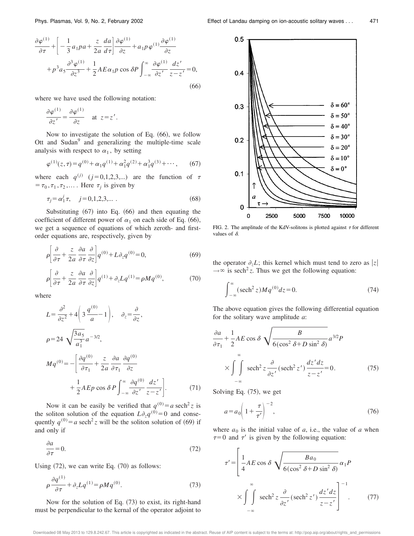$$
\frac{\partial \varphi^{(1)}}{\partial \tau} + \left[ -\frac{1}{3} a_1 p a + \frac{z}{2a} \frac{da}{d\tau} \right] \frac{\partial \varphi^{(1)}}{\partial z} + a_1 p \varphi^{(1)} \frac{\partial \varphi^{(1)}}{\partial z} \n+ p^3 a_5 \frac{\partial^3 \varphi^{(1)}}{\partial z^3} + \frac{1}{2} A E \alpha_1 p \cos \delta P \int_{-\infty}^{\infty} \frac{\partial \varphi^{(1)}}{\partial z'} \frac{dz'}{z - z'} = 0,
$$
\n(66)

where we have used the following notation:

$$
\frac{\partial \varphi^{(1)}}{\partial z'} = \frac{\partial \varphi^{(1)}}{\partial z} \quad \text{at} \ \ z = z' \, .
$$

Now to investigate the solution of Eq.  $(66)$ , we follow Ott and Sudan<sup>9</sup> and generalizing the multiple-time scale analysis with respect to  $\alpha_1$ , by setting

$$
\varphi^{(1)}(z,\tau) = q^{(0)} + \alpha_1 q^{(1)} + \alpha_1^2 q^{(2)} + \alpha_1^3 q^{(3)} + \cdots, \qquad (67)
$$

where each  $q^{(j)}$  ( $j=0,1,2,3,...$ ) are the function of  $\tau$  $=\tau_0, \tau_1, \tau_2, \dots$ . Here  $\tau_j$  is given by

$$
\tau_j = \alpha_1^j \tau, \quad j = 0, 1, 2, 3, \dots \tag{68}
$$

Substituting  $(67)$  into Eq.  $(66)$  and then equating the coefficient of different power of  $\alpha_1$  on each side of Eq. (66), we get a sequence of equations of which zeroth- and firstorder equations are, respectively, given by

$$
\rho \left[ \frac{\partial}{\partial \tau} + \frac{z}{2a} \frac{\partial a}{\partial \tau} \frac{\partial}{\partial z} \right] q^{(0)} + L \partial_z q^{(0)} = 0, \tag{69}
$$

$$
\rho \left[ \frac{\partial}{\partial \tau} + \frac{z}{2a} \frac{\partial a}{\partial \tau} \frac{\partial}{\partial z} \right] q^{(1)} + \partial_z L q^{(1)} = \rho M q^{(0)},\tag{70}
$$

where

$$
L = \frac{\partial^2}{\partial z^2} + 4\left(3\frac{q^{(0)}}{a} - 1\right), \quad \partial_z = \frac{\partial}{\partial z},
$$
  
\n
$$
\rho = 24 \sqrt{\frac{3a_5}{a_1^3}} a^{-3/2},
$$
  
\n
$$
Mq^{(0)} = -\left[\frac{\partial q^{(0)}}{\partial \tau_1} + \frac{z}{2a} \frac{\partial a}{\partial \tau_1} \frac{\partial q^{(0)}}{\partial z} + \frac{1}{2} A E p \cos \delta P \int_{-\infty}^{\infty} \frac{\partial q^{(0)}}{\partial z'} \frac{dz'}{z - z'}\right].
$$
 (71)

Now it can be easily be verified that  $q^{(0)} = a \text{ sech}^2 z$  is the soliton solution of the equation  $L\partial_z q^{(0)}=0$  and consequently  $q^{(0)} = a \text{ sech}^2 z$  will be the soliton solution of (69) if and only if

$$
\frac{\partial a}{\partial \tau} = 0. \tag{72}
$$

Using  $(72)$ , we can write Eq.  $(70)$  as follows:

$$
\rho \frac{\partial q^{(1)}}{\partial \tau} + \partial_z L q^{(1)} = \rho M q^{(0)}.
$$
 (73)

Now for the solution of Eq.  $(73)$  to exist, its right-hand must be perpendicular to the kernal of the operator adjoint to



FIG. 2. The amplitude of the KdV-solitons is plotted against  $\tau$  for different values of  $\delta$ .

the operator  $\partial_z L$ ; this kernel which must tend to zero as |z|  $\rightarrow \infty$  is sech<sup>2</sup> z. Thus we get the following equation:

$$
\int_{-\infty}^{\infty} (\operatorname{sech}^{2} z) M q^{(0)} dz = 0.
$$
 (74)

The above equation gives the following differential equation for the solitary wave amplitude *a*:

$$
\frac{\partial a}{\partial \tau_1} + \frac{1}{2} AE \cos \delta \sqrt{\frac{B}{6(\cos^2 \delta + D \sin^2 \delta)}} a^{3/2} P
$$
  
 
$$
\times \int_{-\infty}^{\infty} \int \mathrm{sech}^2 z \frac{\partial}{\partial z'} (\mathrm{sech}^2 z') \frac{dz' dz}{z - z'} = 0.
$$
 (75)

Solving Eq.  $(75)$ , we get

$$
a = a_0 \left( 1 + \frac{\tau}{\tau'} \right)^{-2},\tag{76}
$$

where  $a_0$  is the initial value of  $a$ , i.e., the value of  $a$  when  $\tau=0$  and  $\tau'$  is given by the following equation:

$$
\tau' = \left[\frac{1}{4}AE\cos\delta\sqrt{\frac{Ba_0}{6(\cos^2\delta + D\sin^2\delta)}}\alpha_1P\right]
$$

$$
\times \int_{-\infty}^{\infty} \mathrm{sech}^2 z \frac{\partial}{\partial z'}(\mathrm{sech}^2 z') \frac{dz'dz}{z-z'}\right]^{-1}.
$$
 (77)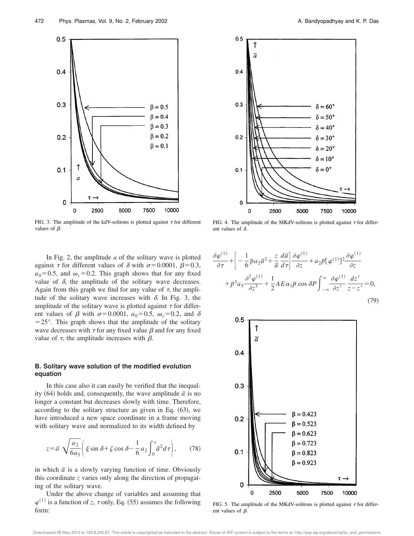

FIG. 3. The amplitude of the kdV-solitons is plotted against  $\tau$  for different values of  $\beta$ .

In Fig. 2, the amplitude *a* of the solitary wave is plotted against  $\tau$  for different values of  $\delta$  with  $\sigma$ =0.0001,  $\beta$ =0.3,  $a_0$ =0.5, and  $\omega_c$ =0.2. This graph shows that for any fixed value of  $\delta$ , the amplitude of the solitary wave decreases. Again from this graph we find for any value of  $\tau$ , the amplitude of the solitary wave increases with  $\delta$ . In Fig. 3, the amplitude of the solitary wave is plotted against  $\tau$  for different values of  $\beta$  with  $\sigma$ =0.0001,  $a_0$ =0.5,  $\omega_c$ =0.2, and  $\delta$  $=25^{\circ}$ . This graph shows that the amplitude of the solitary wave decreases with  $\tau$  for any fixed value  $\beta$  and for any fixed value of  $\tau$ , the amplitude increases with  $\beta$ .

## **B. Solitary wave solution of the modified evolution equation**

In this case also it can easily be verified that the inequality  $(64)$  holds and, consequently, the wave amplitude  $\bar{a}$  is no longer a constant but decreases slowly with time. Therefore, according to the solitary structure as given in Eq.  $(63)$ , we have introduced a new space coordinate in a frame moving with solitary wave and normalized to its width defined by

$$
z = \overline{a} \sqrt{\frac{a_2}{6a_5}} \left( \xi \sin \delta + \zeta \cos \delta - \frac{1}{6} a_2 \int_0^{\tau} \overline{a}^2 d\tau \right), \qquad (78)
$$

in which  $\bar{a}$  is a slowly varying function of time. Obviously this coordinate *z* varies only along the direction of propagating of the solitary wave.

Under the above change of variables and assuming that  $\varphi^{(1)}$  is a function of *z*,  $\tau$  only, Eq. (55) assumes the following form:



FIG. 4. The amplitude of the MKdV-solitons is plotted against  $\tau$  for different values of  $\delta$ .

$$
\frac{\partial \varphi^{(1)}}{\partial \tau} + \left[ -\frac{1}{6} \overline{p} a_2 \overline{a}^2 + \frac{z}{\overline{a}} \frac{d\overline{a}}{d\tau} \right] \frac{\partial \varphi^{(1)}}{\partial z} + a_2 \overline{p} [\varphi^{(1)}] ^2 \frac{\partial \varphi^{(1)}}{\partial z} \n+ \overline{p}^3 a_5 \frac{\partial^3 \varphi^{(1)}}{\partial z^3} + \frac{1}{2} A E \alpha_1 \overline{p} \cos \delta P \int_{-\infty}^{\infty} \frac{\partial \varphi^{(1)}}{\partial z'} \frac{dz'}{z - z'} = 0,
$$
\n(79)



FIG. 5. The amplitude of the MKdV-solitons is plotted against  $\tau$  for different values of  $\beta$ .